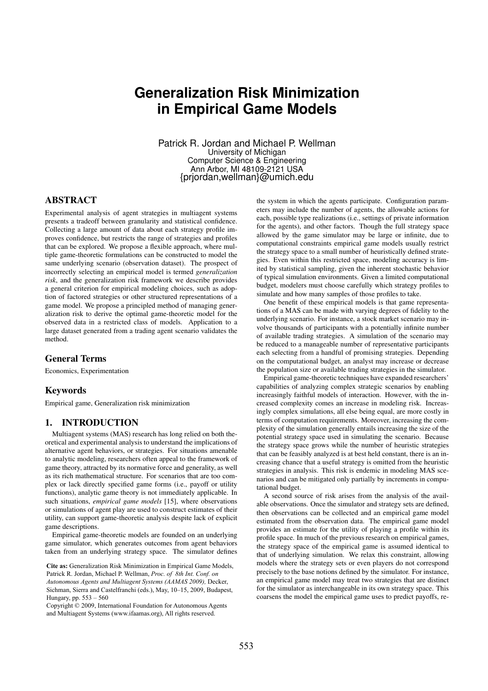# **Generalization Risk Minimization in Empirical Game Models**

Patrick R. Jordan and Michael P. Wellman University of Michigan Computer Science & Engineering Ann Arbor, MI 48109-2121 USA {prjordan,wellman}@umich.edu

# ABSTRACT

Experimental analysis of agent strategies in multiagent systems presents a tradeoff between granularity and statistical confidence. Collecting a large amount of data about each strategy profile improves confidence, but restricts the range of strategies and profiles that can be explored. We propose a flexible approach, where multiple game-theoretic formulations can be constructed to model the same underlying scenario (observation dataset). The prospect of incorrectly selecting an empirical model is termed *generalization risk*, and the generalization risk framework we describe provides a general criterion for empirical modeling choices, such as adoption of factored strategies or other structured representations of a game model. We propose a principled method of managing generalization risk to derive the optimal game-theoretic model for the observed data in a restricted class of models. Application to a large dataset generated from a trading agent scenario validates the method.

# General Terms

Economics, Experimentation

## Keywords

Empirical game, Generalization risk minimization

## 1. INTRODUCTION

Multiagent systems (MAS) research has long relied on both theoretical and experimental analysis to understand the implications of alternative agent behaviors, or strategies. For situations amenable to analytic modeling, researchers often appeal to the framework of game theory, attracted by its normative force and generality, as well as its rich mathematical structure. For scenarios that are too complex or lack directly specified game forms (i.e., payoff or utility functions), analytic game theory is not immediately applicable. In such situations, *empirical game models* [15], where observations or simulations of agent play are used to construct estimates of their utility, can support game-theoretic analysis despite lack of explicit game descriptions.

Empirical game-theoretic models are founded on an underlying game simulator, which generates outcomes from agent behaviors taken from an underlying strategy space. The simulator defines

Cite as: Generalization Risk Minimization in Empirical Game Models, **Cite as:** Generalization Risk Minimization in Empirical Game Models, Patrick R. Jordan, Michael P. Wellman, *Proc. of 8th Int. Conf. on Patrick R. Jordan, Michael P. Wellman, <i>Proc. of 8th Int. Conf. on t* alliek **A**, Jolean, Michael F, Wennan, *Froc. of on the Conf. on* Autonomous Agents and Multiagent Systems (AAMAS 2009), Decker, Sichman, Sierra and Castelfranchi (eds.), May, 10–15, 2009, Budapest, Hungary, pp.  $553 - 560$ <br>Converse  $\odot$  2000, Interp.  $553 - 560$ 

Copyright © 2009, International Foundation for Autonomous Agents and Multiagent Systems (www.ifaamas.org), All rights reserved.

the system in which the agents participate. Configuration parameters may include the number of agents, the allowable actions for each, possible type realizations (i.e., settings of private information for the agents), and other factors. Though the full strategy space allowed by the game simulator may be large or infinite, due to computational constraints empirical game models usually restrict the strategy space to a small number of heuristically defined strategies. Even within this restricted space, modeling accuracy is limited by statistical sampling, given the inherent stochastic behavior of typical simulation environments. Given a limited computational budget, modelers must choose carefully which strategy profiles to simulate and how many samples of those profiles to take.

One benefit of these empirical models is that game representations of a MAS can be made with varying degrees of fidelity to the underlying scenario. For instance, a stock market scenario may involve thousands of participants with a potentially infinite number of available trading strategies. A simulation of the scenario may be reduced to a manageable number of representative participants each selecting from a handful of promising strategies. Depending on the computational budget, an analyst may increase or decrease the population size or available trading strategies in the simulator.

Empirical game-theoretic techniques have expanded researchers' capabilities of analyzing complex strategic scenarios by enabling increasingly faithful models of interaction. However, with the increased complexity comes an increase in modeling risk. Increasingly complex simulations, all else being equal, are more costly in terms of computation requirements. Moreover, increasing the complexity of the simulation generally entails increasing the size of the potential strategy space used in simulating the scenario. Because the strategy space grows while the number of heuristic strategies that can be feasibly analyzed is at best held constant, there is an increasing chance that a useful strategy is omitted from the heuristic strategies in analysis. This risk is endemic in modeling MAS scenarios and can be mitigated only partially by increments in computational budget.

A second source of risk arises from the analysis of the available observations. Once the simulator and strategy sets are defined, then observations can be collected and an empirical game model estimated from the observation data. The empirical game model provides an estimate for the utility of playing a profile within its profile space. In much of the previous research on empirical games, the strategy space of the empirical game is assumed identical to that of underlying simulation. We relax this constraint, allowing models where the strategy sets or even players do not correspond precisely to the base notions defined by the simulator. For instance, an empirical game model may treat two strategies that are distinct for the simulator as interchangeable in its own strategy space. This coarsens the model the empirical game uses to predict payoffs, re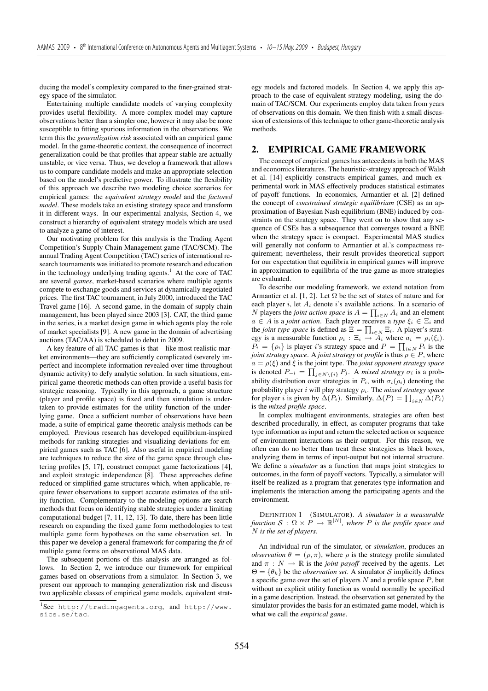ducing the model's complexity compared to the finer-grained strategy space of the simulator.

Entertaining multiple candidate models of varying complexity provides useful flexibility. A more complex model may capture observations better than a simpler one, however it may also be more susceptible to fitting spurious information in the observations. We term this the *generalization risk* associated with an empirical game model. In the game-theoretic context, the consequence of incorrect generalization could be that profiles that appear stable are actually unstable, or vice versa. Thus, we develop a framework that allows us to compare candidate models and make an appropriate selection based on the model's predictive power. To illustrate the flexibility of this approach we describe two modeling choice scenarios for empirical games: the *equivalent strategy model* and the *factored model*. These models take an existing strategy space and transform it in different ways. In our experimental analysis, Section 4, we construct a hierarchy of equivalent strategy models which are used to analyze a game of interest.

Our motivating problem for this analysis is the Trading Agent Competition's Supply Chain Management game (TAC/SCM). The annual Trading Agent Competition (TAC) series of international research tournaments was initiated to promote research and education in the technology underlying trading agents.<sup>1</sup> At the core of TAC are several *games*, market-based scenarios where multiple agents compete to exchange goods and services at dynamically negotiated prices. The first TAC tournament, in July 2000, introduced the TAC Travel game [16]. A second game, in the domain of supply chain management, has been played since 2003 [3]. CAT, the third game in the series, is a market design game in which agents play the role of market specialists [9]. A new game in the domain of advertising auctions (TAC/AA) is scheduled to debut in 2009.

A key feature of all TAC games is that—like most realistic market environments—they are sufficiently complicated (severely imperfect and incomplete information revealed over time throughout dynamic activity) to defy analytic solution. In such situations, empirical game-theoretic methods can often provide a useful basis for strategic reasoning. Typically in this approach, a game structure (player and profile space) is fixed and then simulation is undertaken to provide estimates for the utility function of the underlying game. Once a sufficient number of observations have been made, a suite of empirical game-theoretic analysis methods can be employed. Previous research has developed equilibrium-inspired methods for ranking strategies and visualizing deviations for empirical games such as TAC [6]. Also useful in empirical modeling are techniques to reduce the size of the game space through clustering profiles [5, 17], construct compact game factorizations [4], and exploit strategic independence [8]. These approaches define reduced or simplified game structures which, when applicable, require fewer observations to support accurate estimates of the utility function. Complementary to the modeling options are search methods that focus on identifying stable strategies under a limiting computational budget [7, 11, 12, 13]. To date, there has been little research on expanding the fixed game form methodologies to test multiple game form hypotheses on the same observation set. In this paper we develop a general framework for comparing the *fit* of multiple game forms on observational MAS data.

The subsequent portions of this analysis are arranged as follows. In Section 2, we introduce our framework for empirical games based on observations from a simulator. In Section 3, we present our approach to managing generalization risk and discuss two applicable classes of empirical game models, equivalent strategy models and factored models. In Section 4, we apply this approach to the case of equivalent strategy modeling, using the domain of TAC/SCM. Our experiments employ data taken from years of observations on this domain. We then finish with a small discussion of extensions of this technique to other game-theoretic analysis methods.

## 2. EMPIRICAL GAME FRAMEWORK

The concept of empirical games has antecedents in both the MAS and economics literatures. The heuristic-strategy approach of Walsh et al. [14] explicitly constructs empirical games, and much experimental work in MAS effectively produces statistical estimates of payoff functions. In economics, Armantier et al. [2] defined the concept of *constrained strategic equilibrium* (CSE) as an approximation of Bayesian Nash equilibrium (BNE) induced by constraints on the strategy space. They went on to show that any sequence of CSEs has a subsequence that converges toward a BNE when the strategy space is compact. Experimental MAS studies will generally not conform to Armantier et al.'s compactness requirement; nevertheless, their result provides theoretical support for our expectation that equilibria in empirical games will improve in approximation to equilibria of the true game as more strategies are evaluated.

To describe our modeling framework, we extend notation from Armantier et al. [1, 2]. Let  $\Omega$  be the set of states of nature and for each player i, let  $A_i$  denote i's available actions. In a scenario of N players the *joint action space* is  $A = \prod_{i \in N} A_i$  and an element  $a \in A$  is a *joint action*. Each player receives a *type*  $\xi \in \mathbb{F}$ , and  $a \in A$  is a *joint action*. Each player receives a *type*  $\xi_i \in \Xi_i$  and the *joint type space* is defined as  $\Xi = \prod_{i \in N} \Xi_i$ . A player's strat-<br>eev is a measurable function  $a_i : \Xi_i \to A$ , where  $a_i = a_i(\xi)$ . egy is a measurable function  $\rho_i : \Xi_i \to A_i$  where  $a_i = \rho_i(\xi_i)$ .<br>  $P_i = I_{i} \circ \Psi_i$  is player i's strategy space and  $P_i = \Pi_i - P_i$  is the  $P_i = \{ \rho_i \}$  is player i's strategy space and  $P = \prod_{i \in N} P_i$  is the initiated value of  $P$  is the initiated value of  $P$  where *joint strategy space.* A *joint strategy* or *profile* is thus  $\rho \in P$ , where  $a = \rho(\xi)$  and  $\xi$  is the joint type. The *joint opponent strategy space* is denoted  $P_{-i} = \prod_{j \in N \setminus \{i\}} P_j$ . A *mixed strategy*  $\sigma_i$  is a prob-<br>obility distribution over strategies in  $P$ , with  $\sigma_i$  (e) denoting the ability distribution over strategies in  $P_i$ , with  $\sigma_i(\rho_i)$  denoting the probability player i will play strategy ρi. The *mixed strategy space* for player *i* is given by  $\Delta(P_i)$ . Similarly,  $\Delta(P) = \prod_{i \in N} \Delta(P_i)$ <br>is the *mixed profile space* is the *mixed profile space*.

In complex multiagent environments, strategies are often best described procedurally, in effect, as computer programs that take type information as input and return the selected action or sequence of environment interactions as their output. For this reason, we often can do no better than treat these strategies as black boxes, analyzing them in terms of input-output but not internal structure. We define a *simulator* as a function that maps joint strategies to outcomes, in the form of payoff vectors. Typically, a simulator will itself be realized as a program that generates type information and implements the interaction among the participating agents and the environment.

DEFINITION 1 (SIMULATOR). *A simulator is a measurable function*  $S : \Omega \times P \to \mathbb{R}^{|N|}$ , where P is the profile space and N is the set of players N *is the set of players.*

An individual run of the simulator, or *simulation*, produces an *observation*  $\theta = (\rho, \pi)$ , where  $\rho$  is the strategy profile simulated and  $\pi : N \to \mathbb{R}$  is the *joint payoff* received by the agents. Let  $\Theta = {\theta_k}$  be the *observation set*. A simulator S implicitly defines a specific game over the set of players  $N$  and a profile space  $P$ , but without an explicit utility function as would normally be specified in a game description. Instead, the observation set generated by the simulator provides the basis for an estimated game model, which is what we call the *empirical game*.

<sup>1</sup> See http://tradingagents.org, and http://www. sics.se/tac.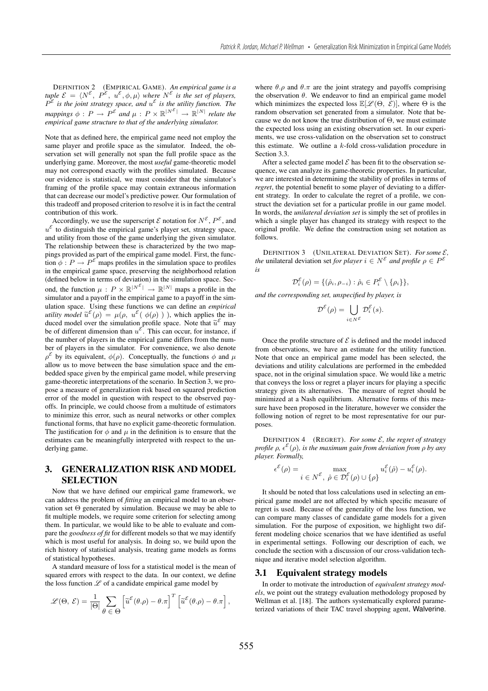DEFINITION 2 (EMPIRICAL GAME). *An empirical game is a tuple*  $\mathcal{E} = \langle N^{\varepsilon}, P^{\varepsilon}, u^{\varepsilon}, \phi, \mu \rangle$  *where*  $N^{\varepsilon}$  *is the set of players,*  $P^{\mathcal{E}}$  *is the joint strategy space, and*  $u^{\mathcal{E}}$  *is the utility function. The mappings*  $\phi: P \to P^{\mathcal{E}}$  *and*  $\mu: P \times \mathbb{R}^{|N^{\mathcal{E}}|} \to \mathbb{R}^{|N|}$  *relate the empirical game structure to that of the underlying simulator.*

Note that as defined here, the empirical game need not employ the same player and profile space as the simulator. Indeed, the observation set will generally not span the full profile space as the underlying game. Moreover, the most *useful* game-theoretic model may not correspond exactly with the profiles simulated. Because our evidence is statistical, we must consider that the simulator's framing of the profile space may contain extraneous information that can decrease our model's predictive power. Our formulation of this tradeoff and proposed criterion to resolve it is in fact the central contribution of this work.

Accordingly, we use the superscript  $\mathcal E$  notation for  $N^{\mathcal E}$ ,  $P^{\mathcal E}$ , and  $u^{\mathcal{E}}$  to distinguish the empirical game's player set, strategy space, and utility from those of the game underlying the given simulator. The relationship between these is characterized by the two mappings provided as part of the empirical game model. First, the function  $\phi : P \to P^{\mathcal{E}}$  maps profiles in the simulation space to profiles in the empirical game space, preserving the neighborhood relation (defined below in terms of deviation) in the simulation space. Second, the function  $\mu$  :  $P \times \mathbb{R}^{|N^{\mathcal{E}}|} \to \mathbb{R}^{|N|}$  maps a profile in the simulator and a payoff in the empirical game to a payoff in the simulation space. Using these functions we can define an *empirical utility model*  $\tilde{u}^{\varepsilon}(\rho) = \mu(\rho, u^{\varepsilon}(\phi(\rho)))$ , which applies the induced model over the simulation profile space. Note that  $\tilde{u}^{\mathcal{E}}$  may be of different dimension than  $u^{\varepsilon}$ . This can occur, for instance, if the number of players in the empirical game differs from the number of players in the simulator. For convenience, we also denote  $\rho^{\mathcal{E}}$  by its equivalent,  $\phi(\rho)$ . Conceptually, the functions  $\phi$  and  $\mu$ allow us to move between the base simulation space and the embedded space given by the empirical game model, while preserving game-theoretic interpretations of the scenario. In Section 3, we propose a measure of generalization risk based on squared prediction error of the model in question with respect to the observed payoffs. In principle, we could choose from a multitude of estimators to minimize this error, such as neural networks or other complex functional forms, that have no explicit game-theoretic formulation. The justification for  $\phi$  and  $\mu$  in the definition is to ensure that the estimates can be meaningfully interpreted with respect to the underlying game.

# 3. GENERALIZATION RISK AND MODEL SELECTION

Now that we have defined our empirical game framework, we can address the problem of *fitting* an empirical model to an observation set  $\Theta$  generated by simulation. Because we may be able to fit multiple models, we require some criterion for selecting among them. In particular, we would like to be able to evaluate and compare the *goodness of fit* for different models so that we may identify which is most useful for analysis. In doing so, we build upon the rich history of statistical analysis, treating game models as forms of statistical hypotheses.

A standard measure of loss for a statistical model is the mean of squared errors with respect to the data. In our context, we define the loss function  $\mathscr L$  of a candidate empirical game model by

$$
\mathscr{L}(\Theta, \mathcal{E}) = \frac{1}{|\Theta|} \sum_{\theta \in \Theta} \left[ \tilde{u}^{\mathcal{E}}(\theta, \rho) - \theta \cdot \pi \right]^T \left[ \tilde{u}^{\mathcal{E}}(\theta, \rho) - \theta \cdot \pi \right],
$$

where  $\theta$ ,  $\rho$  and  $\theta$ , $\pi$  are the joint strategy and payoffs comprising the observation  $\theta$ . We endeavor to find an empirical game model which minimizes the expected loss  $\mathbb{E}[\mathscr{L}(\Theta, \vec{\mathcal{E}})]$ , where  $\Theta$  is the random observation set generated from a simulator. Note that because we do not know the true distribution of Θ, we must estimate the expected loss using an existing observation set. In our experiments, we use cross-validation on the observation set to construct this estimate. We outline a  $k$ -fold cross-validation procedure in Section 3.3.

After a selected game model  $\mathcal E$  has been fit to the observation sequence, we can analyze its game-theoretic properties. In particular, we are interested in determining the stability of profiles in terms of *regret*, the potential benefit to some player of deviating to a different strategy. In order to calculate the regret of a profile, we construct the deviation set for a particular profile in our game model. In words, the *unilateral deviation set* is simply the set of profiles in which a single player has changed its strategy with respect to the original profile. We define the construction using set notation as follows.

DEFINITION 3 (UNILATERAL DEVIATION SET). *For some* E*, the* unilateral deviation set *for player*  $i \in N^{\mathcal{E}}$  *and profile*  $\rho \in P^{\mathcal{E}}$ *is*

$$
\mathcal{D}_i^{\mathcal{E}}(\rho) = \{(\hat{\rho}_i, \rho_{-i}) : \hat{\rho}_i \in P_i^{\mathcal{E}} \setminus \{\rho_i\}\},\
$$

*and the corresponding set, unspecified by player, is*

$$
\mathcal{D}^{\mathcal{E}}(\rho) = \bigcup_{i \in N^{\mathcal{E}}} \mathcal{D}_i^{\mathcal{E}}(s).
$$

Once the profile structure of  $\mathcal E$  is defined and the model induced from observations, we have an estimate for the utility function. Note that once an empirical game model has been selected, the deviations and utility calculations are performed in the embedded space, not in the original simulation space. We would like a metric that conveys the loss or regret a player incurs for playing a specific strategy given its alternatives. The measure of regret should be minimized at a Nash equilibrium. Alternative forms of this measure have been proposed in the literature, however we consider the following notion of regret to be most representative for our purposes.

DEFINITION 4 (REGRET). *For some*  $\mathcal{E}$ *, the regret of strategy profile* ρ*,* E(ρ)*, is the maximum gain from deviation from* <sup>ρ</sup> *by any player. Formally,*

$$
\epsilon^{\mathcal{E}}(\rho) = \max_{i \in N^{\mathcal{E}}, \ \hat{\rho} \in \mathcal{D}_{i}^{\mathcal{E}}(\rho) \cup \{\rho\}} u_{i}^{\mathcal{E}}(\hat{\rho}) - u_{i}^{\mathcal{E}}(\rho).
$$

It should be noted that loss calculations used in selecting an empirical game model are not affected by which specific measure of regret is used. Because of the generality of the loss function, we can compare many classes of candidate game models for a given simulation. For the purpose of exposition, we highlight two different modeling choice scenarios that we have identified as useful in experimental settings. Following our description of each, we conclude the section with a discussion of our cross-validation technique and iterative model selection algorithm.

#### 3.1 Equivalent strategy models

In order to motivate the introduction of *equivalent strategy models*, we point out the strategy evaluation methodology proposed by Wellman et al. [18]. The authors systematically explored parameterized variations of their TAC travel shopping agent, Walverine.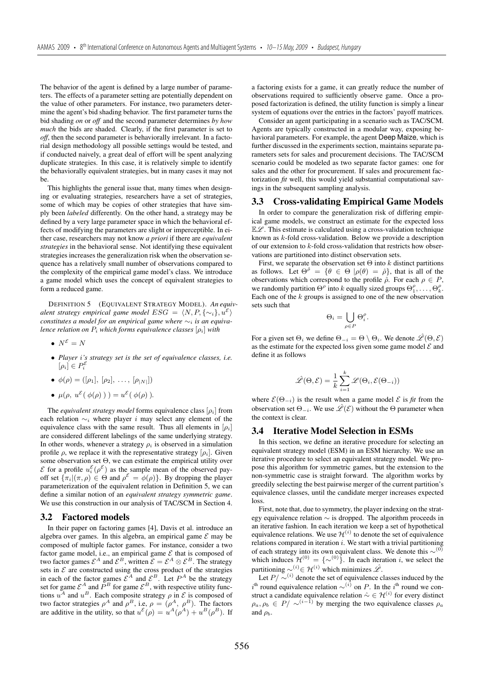The behavior of the agent is defined by a large number of parameters. The effects of a parameter setting are potentially dependent on the value of other parameters. For instance, two parameters determine the agent's bid shading behavior. The first parameter turns the bid shading *on* or *off* and the second parameter determines *by how much* the bids are shaded. Clearly, if the first parameter is set to *off*, then the second parameter is behaviorally irrelevant. In a factorial design methodology all possible settings would be tested, and if conducted naively, a great deal of effort will be spent analyzing duplicate strategies. In this case, it is relatively simple to identify the behaviorally equivalent strategies, but in many cases it may not be.

This highlights the general issue that, many times when designing or evaluating strategies, researchers have a set of strategies, some of which may be copies of other strategies that have simply been *labeled* differently. On the other hand, a strategy may be defined by a very large parameter space in which the behavioral effects of modifying the parameters are slight or imperceptible. In either case, researchers may not know *a priori* if there are *equivalent strategies* in the behavioral sense. Not identifying these equivalent strategies increases the generalization risk when the observation sequence has a relatively small number of observations compared to the complexity of the empirical game model's class. We introduce a game model which uses the concept of equivalent strategies to form a reduced game.

DEFINITION 5 (EQUIVALENT STRATEGY MODEL). *An equivalent strategy empirical game model*  $ESG = \langle N, P, \{\sim_i\}, u^{\mathcal{E}} \rangle$ *constitutes a model for an empirical game where* ∼<sup>i</sup> *is an equivalence relation on* <sup>P</sup><sup>i</sup> *which forms equivalence classes* [ρ<sup>i</sup>] *with*

- $N^{\mathcal{E}} = N$
- *Player* i*'s strategy set is the set of equivalence classes, i.e.*  $[\rho_i] \in P_i^{\mathcal{E}}$
- $\phi(\rho) = ([\rho_1], [\rho_2], \ldots, [\rho_{|N|}])$
- $\mu(\rho, u^{\mathcal{E}}(\phi(\rho)))= u^{\mathcal{E}}(\phi(\rho))$ *.*

The *equivalent strategy model* forms equivalence class  $[\rho_i]$  from each relation  $\sim_i$  where player i may select any element of the equivalence class with the same result. Thus all elements in  $[\rho_i]$ are considered different labelings of the same underlying strategy. In other words, whenever a strategy  $\rho_i$  is observed in a simulation profile  $\rho$ , we replace it with the representative strategy  $[\rho_i]$ . Given some observation set Θ, we can estimate the empirical utility over  $\mathcal E$  for a profile  $u_i^{\mathcal E}(\rho^{\mathcal E})$  as the sample mean of the observed pay-<br>off set  $f_{\pi^{-1}}(x, a) \in \Theta$  and  $\rho^{\mathcal E} = \phi(a)$ . By dropping the player off set  $\{\pi_i | (\pi, \rho) \in \Theta \text{ and } \rho^{\mathcal{E}} = \phi(\rho)\}\)$ . By dropping the player parameterization of the equivalent relation in Definition 5, we can define a similar notion of an *equivalent strategy symmetric game*. We use this construction in our analysis of TAC/SCM in Section 4.

#### 3.2 Factored models

In their paper on factoring games [4], Davis et al. introduce an algebra over games. In this algebra, an empirical game  $\mathcal E$  may be composed of multiple factor games. For instance, consider a two factor game model, i.e., an empirical game  $\mathcal E$  that is composed of two factor games  $\mathcal{E}^A$  and  $\mathcal{E}^B$ , written  $\mathcal{E} = \mathcal{E}^A \otimes \mathcal{E}^B$ . The strategy sets in  $\mathcal E$  are constructed using the cross product of the strategies in each of the factor games  $\mathcal{E}^A$  and  $\mathcal{E}^B$ . Let  $P^A$  be the strategy set for game  $\mathcal{E}^A$  and  $P^B$  for game  $\mathcal{E}^B$ , with respective utility functions  $u^A$  and  $u^B$ . Each composite strategy  $\rho$  in  $\mathcal{E}$  is composed of two factor strategies  $\rho^A$  and  $\rho^B$ , i.e,  $\rho = (\rho^A, \rho^B)$ . The factors are additive in the utility, so that  $u^{\mathcal{E}}(\rho) = u^A(\rho^A) + u^B(\rho^B)$ . If

a factoring exists for a game, it can greatly reduce the number of observations required to sufficiently observe game. Once a proposed factorization is defined, the utility function is simply a linear system of equations over the entries in the factors' payoff matrices.

Consider an agent participating in a scenario such as TAC/SCM. Agents are typically constructed in a modular way, exposing behavioral parameters. For example, the agent Deep Maize, which is further discussed in the experiments section, maintains separate parameters sets for sales and procurement decisions. The TAC/SCM scenario could be modeled as two separate factor games: one for sales and the other for procurement. If sales and procurement factorization *fit* well, this would yield substantial computational savings in the subsequent sampling analysis.

#### 3.3 Cross-validating Empirical Game Models

In order to compare the generalization risk of differing empirical game models, we construct an estimate for the expected loss  $E\mathscr{L}$ . This estimate is calculated using a cross-validation technique known as  $k$ -fold cross-validation. Below we provide a description of our extension to k-fold cross-validation that restricts how observations are partitioned into distinct observation sets.

First, we separate the observation set  $\Theta$  into k distinct partitions as follows. Let  $\Theta^{\hat{\rho}} = {\theta \in \Theta \mid \rho(\theta) = \hat{\rho}}$ , that is all of the observations which correspond to the profile  $\hat{\rho}$ . For each  $\rho \in P$ , we randomly partition  $\Theta^{\rho}$  into k equally sized groups  $\Theta_1^{\rho}, \ldots, \Theta_k^{\rho}$ .<br>Each one of the k groups is assigned to one of the new observation Each one of the  $k$  groups is assigned to one of the new observation sets such that

$$
\Theta_i = \bigcup_{\rho \in P} \Theta_i^{\rho}.
$$

For a given set  $\Theta_i$  we define  $\Theta_{-i} = \Theta \setminus \Theta_i$ . We denote  $\hat{\mathscr{L}}(\Theta, \mathcal{E})$ as the estimate for the expected loss given some game model  $\mathcal E$  and define it as follows

$$
\hat{\mathscr{L}}(\Theta,\mathcal{E}) = \frac{1}{k} \sum_{i=1}^{k} \mathscr{L}(\Theta_i, \mathcal{E}(\Theta_{-i}))
$$

where  $\mathcal{E}(\Theta_{-i})$  is the result when a game model  $\mathcal E$  is *fit* from the observation set  $\Theta_{-i}$ . We use  $\hat{\mathscr{L}}(\mathcal{E})$  without the  $\Theta$  parameter when the context is clear.

#### 3.4 Iterative Model Selection in ESMs

In this section, we define an iterative procedure for selecting an equivalent strategy model (ESM) in an ESM hierarchy. We use an iterative procedure to select an equivalent strategy model. We propose this algorithm for symmetric games, but the extension to the non-symmetric case is straight forward. The algorithm works by greedily selecting the best pairwise merger of the current partition's equivalence classes, until the candidate merger increases expected loss.

First, note that, due to symmetry, the player indexing on the strategy equivalence relation ∼ is dropped. The algorithm proceeds in an iterative fashion. In each iteration we keep a set of hypothetical equivalence relations. We use  $\mathcal{H}^{(i)}$  to denote the set of equivalence relations compared in iteration  $i$ . We start with a trivial partitioning of each strategy into its own equivalent class. We denote this  $\sim$ <sup>(0)</sup> which induces  $\mathcal{H}^{(0)} = \{ \sim^{(0)} \}$ . In each iteration *i*, we select the portitioning  $\sim^{(i)} \sim \mathcal{H}^{(i)}$  which minimizes  $\hat{\mathcal{L}}$ partitioning  $\sim^{(i)} \in \mathcal{H}^{(i)}$  which minimizes  $\hat{\mathscr{L}}$ .

Let  $P/\sim^{(i)}$  denote the set of equivalence classes induced by the  $i^{\text{th}}$  round equivalence relation ∼ $(i)$  on P. In the  $i^{\text{th}}$  round we construct a candidate equivalence relation  $\hat{\sim} \in \mathcal{H}^{(i)}$  for every distinct  $\rho_a, \rho_b \in P / \sim^{(i-1)}$  by merging the two equivalence classes  $\rho_a$ and  $\rho_b$ .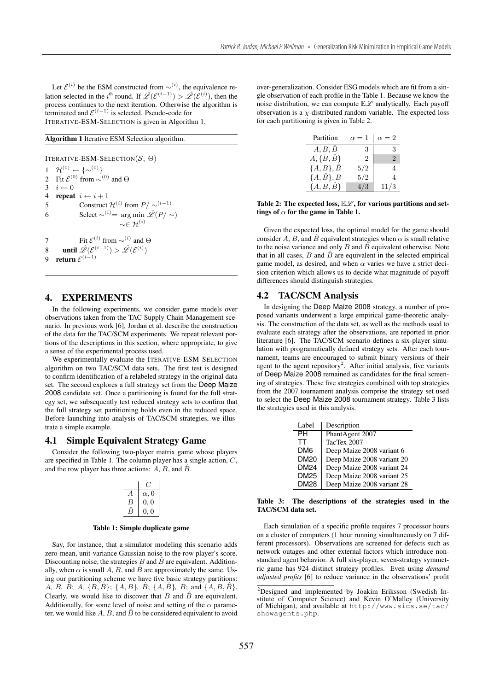Let  $\mathcal{E}^{(i)}$  be the ESM constructed from ∼ $(i)$ , the equivalence relation selected in the i<sup>th</sup> round. If  $\hat{\mathcal{L}}(\mathcal{E}^{(i-1)}) > \hat{\mathcal{L}}(\mathcal{E}^{(i)})$ , then the process continues to the next iteration. Otherwise the algorithm is process continues to the next iteration. Otherwise the algorithm is terminated and  $\mathcal{E}^{(i-1)}$  is selected. Pseudo-code for ITERATIVE-ESM-SELECTION is given in Algorithm 1.

## Algorithm 1 Iterative ESM Selection algorithm.

ITERATIVE-ESM-SELECTION( $\mathcal{S}, \Theta$ )

1  $\mathcal{H}^{(0)} \leftarrow \{\infty^{(0)}\}$ <br>2 Fit  $\mathcal{E}^{(0)}$  from  $\sim$ <sup>0</sup> 2 Fit  $\mathcal{E}^{(0)}$  from ~ $^{(0)}$  and  $\Theta$ <br>3  $i \leftarrow 0$  $3 \quad i \leftarrow 0$ <br>4 repeat 4 repeat  $i \leftarrow i + 1$ <br>5 Construct 5 Construct  $\mathcal{H}^{(i)}$  from  $P/\sim^{(i-1)}$ <br>6 Select  $\sim^{(i)} = \arg \min \hat{\mathscr{L}}(P)/\sim$ 6 Select ~<sup>(i)</sup> = arg min  $\hat{\mathscr{L}}(P/\sim)$ <br>~∈  $\mathcal{H}^{(i)}$ 7 Fit  $\mathcal{E}^{(i)}$  from ~<sup>(i)</sup> and  $\Theta$ <br>8 **propertion**  $\hat{\varphi}(\mathcal{E}^{(i-1)}) \geq \hat{\varphi}(\mathcal{E}^{(i)})$ 8 until  $\hat{\mathscr{L}}(\mathcal{E}^{(i-1)}) > \hat{\mathscr{L}}(\mathcal{E}^{(i)})$ <br>9 return  $\mathcal{E}^{(i-1)}$  $\overline{\phantom{a}}$ return  $\mathcal{E}^{(i-1)}$ 

## 4. EXPERIMENTS

In the following experiments, we consider game models over observations taken from the TAC Supply Chain Management scenario. In previous work [6], Jordan et al. describe the construction of the data for the TAC/SCM experiments. We repeat relevant portions of the descriptions in this section, where appropriate, to give a sense of the experimental process used.

We experimentally evaluate the ITERATIVE-ESM-SELECTION algorithm on two TAC/SCM data sets. The first test is designed to confirm identification of a relabeled strategy in the original data set. The second explores a full strategy set from the Deep Maize 2008 candidate set. Once a partitioning is found for the full strategy set, we subsequently test reduced strategy sets to confirm that the full strategy set partitioning holds even in the reduced space. Before launching into analysis of TAC/SCM strategies, we illustrate a simple example.

#### 4.1 Simple Equivalent Strategy Game

Consider the following two-player matrix game whose players are specified in Table 1. The column player has a single action, C, and the row player has three actions:  $A$ ,  $B$ , and  $\overline{B}$ .

|   | $\alpha$ , 0 |
|---|--------------|
| ь | 0,0          |
|   | 0. 0         |

#### Table 1: Simple duplicate game

Say, for instance, that a simulator modeling this scenario adds zero-mean, unit-variance Gaussian noise to the row player's score. Discounting noise, the strategies B and  $\hat{B}$  are equivalent. Additionally, when  $\alpha$  is small A, B, and  $\hat{B}$  are approximately the same. Using our partitioning scheme we have five basic strategy partitions: A, B,  $\hat{B}$ ; A,  $\{B, \hat{B}\}$ ;  $\{A, B\}$ ,  $\hat{B}$ ;  $\{A, \hat{B}\}$ ,  $B$ ; and  $\{A, B, \hat{B}\}$ . Clearly, we would like to discover that  $B$  and  $\hat{B}$  are equivalent. Additionally, for some level of noise and setting of the  $\alpha$  parameter, we would like  $A$ ,  $B$ , and  $\hat{B}$  to be considered equivalent to avoid over-generalization. Consider ESG models which are fit from a single observation of each profile in the Table 1. Because we know the noise distribution, we can compute  $\mathbb{E}\mathscr{L}$  analytically. Each payoff observation is a  $\chi$ -distributed random variable. The expected loss for each partitioning is given in Table 2.

| Partition            | $\alpha = 1$ | $\alpha = 2$ |
|----------------------|--------------|--------------|
| A, B, B              | З            | К            |
| $A, \{B, \hat{B}\}\$ | 2            | 2            |
| ${A, B}, B$          | 5/2          |              |
| ${A,\hat{B}\},B$     | 5/2          |              |
| $\{A, B, \hat{B}\}\$ | 4/3          | 11/3         |
|                      |              |              |

Table 2: The expected loss,  $\mathbb{E}\mathscr{L}$ , for various partitions and settings of  $\alpha$  for the game in Table 1.

Given the expected loss, the optimal model for the game should consider A, B, and B equivalent strategies when  $\alpha$  is small relative to the noise variance and only B and  $\hat{B}$  equivalent otherwise. Note that in all cases,  $B$  and  $\hat{B}$  are equivalent in the selected empirical game model, as desired, and when  $\alpha$  varies we have a strict decision criterion which allows us to decide what magnitude of payoff differences should distinguish strategies.

#### 4.2 TAC/SCM Analysis

In designing the Deep Maize 2008 strategy, a number of proposed variants underwent a large empirical game-theoretic analysis. The construction of the data set, as well as the methods used to evaluate each strategy after the observations, are reported in prior literature [6]. The TAC/SCM scenario defines a six-player simulation with programatically defined strategy sets. After each tournament, teams are encouraged to submit binary versions of their agent to the agent repository<sup>2</sup>. After initial analysis, five variants of Deep Maize 2008 remained as candidates for the final screening of strategies. These five strategies combined with top strategies from the 2007 tournament analysis comprise the strategy set used to select the Deep Maize 2008 tournament strategy. Table 3 lists the strategies used in this analysis.

| Label       | Description                |
|-------------|----------------------------|
| PH          | PhantAgent 2007            |
| TТ          | TacTex 2007                |
| DM6         | Deep Maize 2008 variant 6  |
| <b>DM20</b> | Deep Maize 2008 variant 20 |
| <b>DM24</b> | Deep Maize 2008 variant 24 |
| DM25        | Deep Maize 2008 variant 25 |
| DM28        | Deep Maize 2008 variant 28 |

#### Table 3: The descriptions of the strategies used in the TAC/SCM data set.

Each simulation of a specific profile requires 7 processor hours on a cluster of computers (1 hour running simultaneously on 7 different processors). Observations are screened for defects such as network outages and other external factors which introduce nonstandard agent behavior. A full six-player, seven-strategy symmetric game has 924 distinct strategy profiles. Even using *demand adjusted profits* [6] to reduce variance in the observations' profit

<sup>&</sup>lt;sup>2</sup>Designed and implemented by Joakim Eriksson (Swedish Institute of Computer Science) and Kevin O'Malley (University of Michigan), and available at http://www.sics.se/tac/ showagents.php.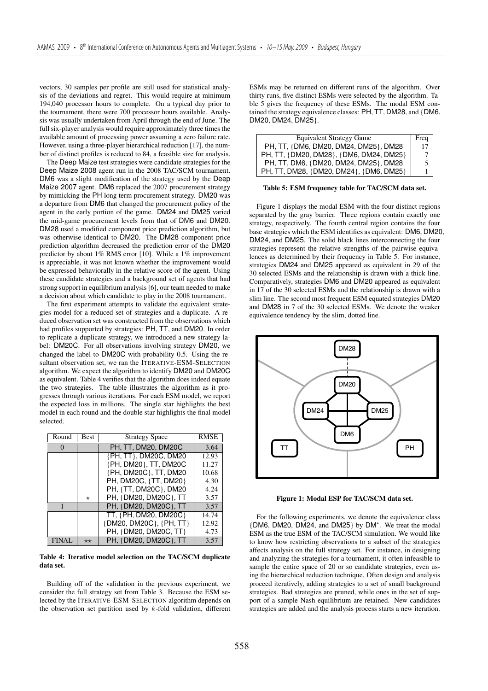vectors, 30 samples per profile are still used for statistical analysis of the deviations and regret. This would require at minimum 194,040 processor hours to complete. On a typical day prior to the tournament, there were 700 processor hours available. Analysis was usually undertaken from April through the end of June. The full six-player analysis would require approximately three times the available amount of processing power assuming a zero failure rate. However, using a three-player hierarchical reduction [17], the number of distinct profiles is reduced to 84, a feasible size for analysis.

The Deep Maize test strategies were candidate strategies for the Deep Maize 2008 agent run in the 2008 TAC/SCM tournament. DM6 was a slight modification of the strategy used by the Deep Maize 2007 agent. DM6 replaced the 2007 procurement strategy by mimicking the PH long term procurement strategy. DM20 was a departure from DM6 that changed the procurement policy of the agent in the early portion of the game. DM24 and DM25 varied the mid-game procurement levels from that of DM6 and DM20. DM28 used a modified component price prediction algorithm, but was otherwise identical to DM20. The DM28 component price prediction algorithm decreased the prediction error of the DM20 predictor by about 1% RMS error [10]. While a 1% improvement is appreciable, it was not known whether the improvement would be expressed behaviorally in the relative score of the agent. Using these candidate strategies and a background set of agents that had strong support in equilibrium analysis [6], our team needed to make a decision about which candidate to play in the 2008 tournament.

The first experiment attempts to validate the equivalent strategies model for a reduced set of strategies and a duplicate. A reduced observation set was constructed from the observations which had profiles supported by strategies: PH, TT, and DM20. In order to replicate a duplicate strategy, we introduced a new strategy label: DM20C. For all observations involving strategy DM20, we changed the label to DM20C with probability 0.5. Using the resultant observation set, we ran the ITERATIVE-ESM-SELECTION algorithm. We expect the algorithm to identify DM20 and DM20C as equivalent. Table 4 verifies that the algorithm does indeed equate the two strategies. The table illustrates the algorithm as it progresses through various iterations. For each ESM model, we report the expected loss in millions. The single star highlights the best model in each round and the double star highlights the final model selected.

| Round        | Best         | <b>Strategy Space</b>   | <b>RMSE</b> |
|--------------|--------------|-------------------------|-------------|
| $\Omega$     |              | PH. TT. DM20, DM20C     | 3.64        |
|              |              | {PH, TT}, DM20C, DM20   | 12.93       |
|              |              | {PH, DM20}, TT, DM20C   | 11.27       |
|              |              | {PH, DM20C}, TT, DM20   | 10.68       |
|              |              | PH, DM20C, {TT, DM20}   | 4.30        |
|              |              | PH, {TT, DM20C}, DM20   | 4.24        |
|              | $\star$      | PH, {DM20, DM20C}, TT   | 3.57        |
|              |              | PH, {DM20, DM20C}, TT   | 3.57        |
|              |              | TT, {PH, DM20, DM20C}   | 14.74       |
|              |              | {DM20, DM20C}, {PH, TT} | 12.92       |
|              |              | PH, {DM20, DM20C, TT}   | 4.73        |
| <b>FINAL</b> | $\star\star$ | PH, {DM20, DM20C}, TT   | 3.57        |

Table 4: Iterative model selection on the TAC/SCM duplicate data set.

Building off of the validation in the previous experiment, we consider the full strategy set from Table 3. Because the ESM selected by the ITERATIVE-ESM-SELECTION algorithm depends on the observation set partition used by  $k$ -fold validation, different ESMs may be returned on different runs of the algorithm. Over thirty runs, five distinct ESMs were selected by the algorithm. Table 5 gives the frequency of these ESMs. The modal ESM contained the strategy equivalence classes: PH, TT, DM28, and {DM6, DM20, DM24, DM25}.

| <b>Equivalent Strategy Game</b>         | Freq |
|-----------------------------------------|------|
| PH, TT, {DM6, DM20, DM24, DM25}, DM28   |      |
| PH, TT, {DM20, DM28}, {DM6, DM24, DM25} |      |
| PH, TT, DM6, {DM20, DM24, DM25}, DM28   | 5    |
| PH, TT, DM28, {DM20, DM24}, {DM6, DM25} |      |

Table 5: ESM frequency table for TAC/SCM data set.

Figure 1 displays the modal ESM with the four distinct regions separated by the gray barrier. Three regions contain exactly one strategy, respectively. The fourth central region contains the four base strategies which the ESM identifies as equivalent: DM6, DM20, DM24, and DM25. The solid black lines interconnecting the four strategies represent the relative strengths of the pairwise equivalences as determined by their frequency in Table 5. For instance, strategies DM24 and DM25 appeared as equivalent in 29 of the 30 selected ESMs and the relationship is drawn with a thick line. Comparatively, strategies DM6 and DM20 appeared as equivalent in 17 of the 30 selected ESMs and the relationship is drawn with a slim line. The second most frequent ESM equated strategies DM20 and DM28 in 7 of the 30 selected ESMs. We denote the weaker equivalence tendency by the slim, dotted line.



Figure 1: Modal ESP for TAC/SCM data set.

For the following experiments, we denote the equivalence class {DM6, DM20, DM24, and DM25} by DM\*. We treat the modal ESM as the true ESM of the TAC/SCM simulation. We would like to know how restricting observations to a subset of the strategies affects analysis on the full strategy set. For instance, in designing and analyzing the strategies for a tournament, it often infeasible to sample the entire space of 20 or so candidate strategies, even using the hierarchical reduction technique. Often design and analysis proceed iteratively, adding strategies to a set of small background strategies. Bad strategies are pruned, while ones in the set of support of a sample Nash equilibrium are retained. New candidates strategies are added and the analysis process starts a new iteration.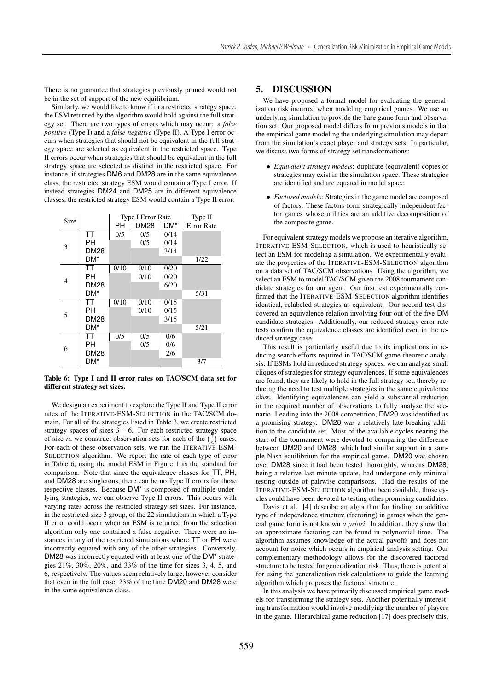There is no guarantee that strategies previously pruned would not be in the set of support of the new equilibrium.

Similarly, we would like to know if in a restricted strategy space, the ESM returned by the algorithm would hold against the full strategy set. There are two types of errors which may occur: a *false positive* (Type I) and a *false negative* (Type II). A Type I error occurs when strategies that should not be equivalent in the full strategy space are selected as equivalent in the restricted space. Type II errors occur when strategies that should be equivalent in the full strategy space are selected as distinct in the restricted space. For instance, if strategies DM6 and DM28 are in the same equivalence class, the restricted strategy ESM would contain a Type I error. If instead strategies DM24 and DM25 are in different equivalence classes, the restricted strategy ESM would contain a Type II error.

| Size |             | <b>Type I Error Rate</b> |             | Type II |                   |
|------|-------------|--------------------------|-------------|---------|-------------------|
|      |             | PН                       | <b>DM28</b> | DM*     | <b>Error Rate</b> |
| 3    | TT          | 0/5                      | 0/5         | 0/14    |                   |
|      | PН          |                          | 0/5         | 0/14    |                   |
|      | <b>DM28</b> |                          |             | 3/14    |                   |
|      | DM*         |                          |             |         | 1/22              |
| 4    | тт          | 0/10                     | 0/10        | 0/20    |                   |
|      | PН          |                          | 0/10        | 0/20    |                   |
|      | DM28        |                          |             | 6/20    |                   |
|      | DM*         |                          |             |         | 5/31              |
| 5    | тт          | 0/10                     | 0/10        | 0/15    |                   |
|      | PН          |                          | 0/10        | 0/15    |                   |
|      | <b>DM28</b> |                          |             | 3/15    |                   |
|      | DM*         |                          |             |         | 5/21              |
| 6    | тт          | 0/5                      | 0/5         | 0/6     |                   |
|      | PН          |                          | 0/5         | 0/6     |                   |
|      | DM28        |                          |             | 2/6     |                   |
|      | DM*         |                          |             |         | 3/7               |

Table 6: Type I and II error rates on TAC/SCM data set for different strategy set sizes.

We design an experiment to explore the Type II and Type II error rates of the ITERATIVE-ESM-SELECTION in the TAC/SCM domain. For all of the strategies listed in Table 3, we create restricted strategy spaces of sizes  $3 - 6$ . For each restricted strategy space of size *n*, we construct observation sets for each of the  $\binom{7}{n}$  cases. For each of these observation sets, we run the ITERATIVE-ESM-SELECTION algorithm. We report the rate of each type of error in Table 6, using the modal ESM in Figure 1 as the standard for comparison. Note that since the equivalence classes for TT, PH, and DM28 are singletons, there can be no Type II errors for those respective classes. Because DM\* is composed of multiple underlying strategies, we can observe Type II errors. This occurs with varying rates across the restricted strategy set sizes. For instance, in the restricted size 3 group, of the 22 simulations in which a Type II error could occur when an ESM is returned from the selection algorithm only one contained a false negative. There were no instances in any of the restricted simulations where TT or PH were incorrectly equated with any of the other strategies. Conversely, DM28 was incorrectly equated with at least one of the DM\* strategies 21%, 30%, 20%, and 33% of the time for sizes 3, 4, 5, and 6, respectively. The values seem relatively large, however consider that even in the full case, 23% of the time DM20 and DM28 were in the same equivalence class.

# 5. DISCUSSION

We have proposed a formal model for evaluating the generalization risk incurred when modeling empirical games. We use an underlying simulation to provide the base game form and observation set. Our proposed model differs from previous models in that the empirical game modeling the underlying simulation may depart from the simulation's exact player and strategy sets. In particular, we discuss two forms of strategy set transformations:

- *Equivalent strategy models*: duplicate (equivalent) copies of strategies may exist in the simulation space. These strategies are identified and are equated in model space.
- *Factored models*: Strategies in the game model are composed of factors. These factors form strategically independent factor games whose utilities are an additive decomposition of the composite game.

For equivalent strategy models we propose an iterative algorithm, ITERATIVE-ESM-SELECTION, which is used to heuristically select an ESM for modeling a simulation. We experimentally evaluate the properties of the ITERATIVE-ESM-SELECTION algorithm on a data set of TAC/SCM observations. Using the algorithm, we select an ESM to model TAC/SCM given the 2008 tournament candidate strategies for our agent. Our first test experimentally confirmed that the ITERATIVE-ESM-SELECTION algorithm identifies identical, relabeled strategies as equivalent. Our second test discovered an equivalence relation involving four out of the five DM candidate strategies. Additionally, our reduced strategy error rate tests confirm the equivalence classes are identified even in the reduced strategy case.

This result is particularly useful due to its implications in reducing search efforts required in TAC/SCM game-theoretic analysis. If ESMs hold in reduced strategy spaces, we can analyze small cliques of strategies for strategy equivalences. If some equivalences are found, they are likely to hold in the full strategy set, thereby reducing the need to test multiple strategies in the same equivalence class. Identifying equivalences can yield a substantial reduction in the required number of observations to fully analyze the scenario. Leading into the 2008 competition, DM20 was identified as a promising strategy. DM28 was a relatively late breaking addition to the candidate set. Most of the available cycles nearing the start of the tournament were devoted to comparing the difference between DM20 and DM28, which had similar support in a sample Nash equilibrium for the empirical game. DM20 was chosen over DM28 since it had been tested thoroughly, whereas DM28, being a relative last minute update, had undergone only minimal testing outside of pairwise comparisons. Had the results of the ITERATIVE-ESM-SELECTION algorithm been available, those cycles could have been devoted to testing other promising candidates.

Davis et al. [4] describe an algorithm for finding an additive type of independence structure (factoring) in games when the general game form is not known *a priori*. In addition, they show that an approximate factoring can be found in polynomial time. The algorithm assumes knowledge of the actual payoffs and does not account for noise which occurs in empirical analysis setting. Our complementary methodology allows for the discovered factored structure to be tested for generalization risk. Thus, there is potential for using the generalization risk calculations to guide the learning algorithm which proposes the factored structure.

In this analysis we have primarily discussed empirical game models for transforming the strategy sets. Another potentially interesting transformation would involve modifying the number of players in the game. Hierarchical game reduction [17] does precisely this,